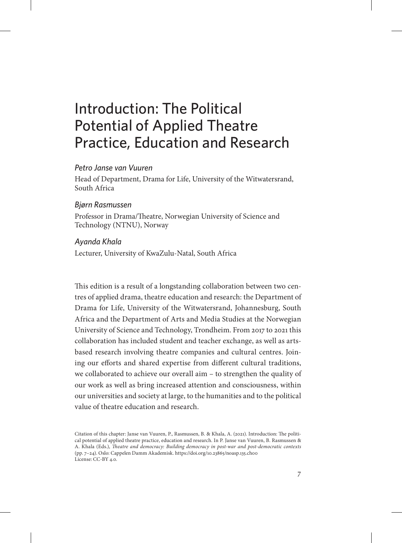# Introduction: The Political Potential of Applied Theatre Practice, Education and Research

## *Petro Janse van Vuuren*

Head of Department, Drama for Life, University of the Witwatersrand, South Africa

### *Bjørn Rasmussen*

Professor in Drama/Theatre, Norwegian University of Science and Technology (NTNU), Norway

## *Ayanda Khala*

Lecturer, University of KwaZulu-Natal, South Africa

This edition is a result of a longstanding collaboration between two centres of applied drama, theatre education and research: the Department of Drama for Life, University of the Witwatersrand, Johannesburg, South Africa and the Department of Arts and Media Studies at the Norwegian University of Science and Technology, Trondheim. From 2017 to 2021 this collaboration has included student and teacher exchange, as well as artsbased research involving theatre companies and cultural centres. Joining our efforts and shared expertise from different cultural traditions, we collaborated to achieve our overall aim – to strengthen the quality of our work as well as bring increased attention and consciousness, within our universities and society at large, to the humanities and to the political value of theatre education and research.

Citation of this chapter: Janse van Vuuren, P., Rasmussen, B. & Khala, A. (2021). Introduction: The political potential of applied theatre practice, education and research. In P. Janse van Vuuren, B. Rasmussen & A. Khala (Eds.), *Theatre and democracy: Building democracy in post-war and post-democratic contexts* (pp. 7–24). Oslo: Cappelen Damm Akademisk. https://doi.org/10.23865/noasp.135.ch00 License: CC-BY 4.0.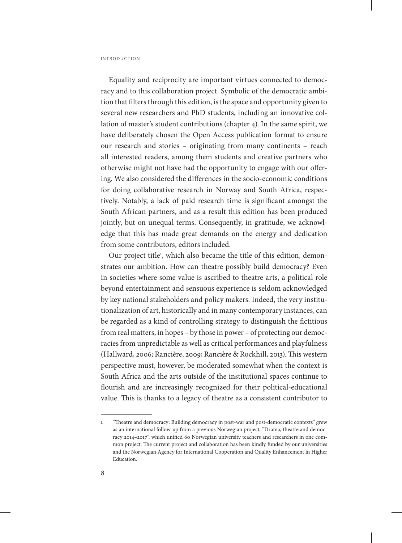Equality and reciprocity are important virtues connected to democracy and to this collaboration project. Symbolic of the democratic ambition that filters through this edition, is the space and opportunity given to several new researchers and PhD students, including an innovative collation of master's student contributions (chapter 4). In the same spirit, we have deliberately chosen the Open Access publication format to ensure our research and stories – originating from many continents – reach all interested readers, among them students and creative partners who otherwise might not have had the opportunity to engage with our offering. We also considered the differences in the socio-economic conditions for doing collaborative research in Norway and South Africa, respectively. Notably, a lack of paid research time is significant amongst the South African partners, and as a result this edition has been produced jointly, but on unequal terms. Consequently, in gratitude, we acknowledge that this has made great demands on the energy and dedication from some contributors, editors included.

Our project title<sup>1</sup>, which also became the title of this edition, demonstrates our ambition. How can theatre possibly build democracy? Even in societies where some value is ascribed to theatre arts, a political role beyond entertainment and sensuous experience is seldom acknowledged by key national stakeholders and policy makers. Indeed, the very institutionalization of art, historically and in many contemporary instances, can be regarded as a kind of controlling strategy to distinguish the fictitious from real matters, in hopes – by those in power – of protecting our democracies from unpredictable as well as critical performances and playfulness (Hallward, 2006; Rancière, 2009; Rancière & Rockhill, 2013). This western perspective must, however, be moderated somewhat when the context is South Africa and the arts outside of the institutional spaces continue to flourish and are increasingly recognized for their political-educational value. This is thanks to a legacy of theatre as a consistent contributor to

**<sup>1</sup>** "Theatre and democracy: Building democracy in post-war and post-democratic contexts" grew as an international follow-up from a previous Norwegian project, "Drama, theatre and democracy 2014–2017", which unified 60 Norwegian university teachers and researchers in one common project. The current project and collaboration has been kindly funded by our universities and the Norwegian Agency for International Cooperation and Quality Enhancement in Higher Education.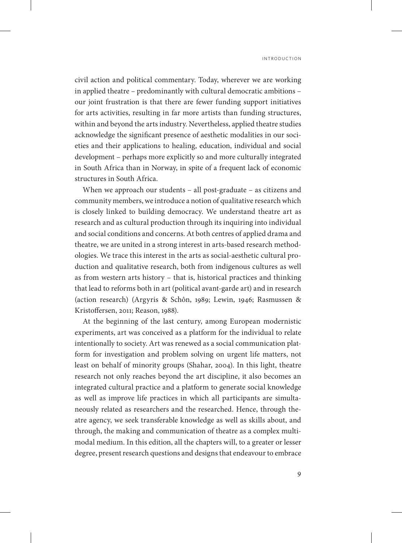civil action and political commentary. Today, wherever we are working in applied theatre – predominantly with cultural democratic ambitions – our joint frustration is that there are fewer funding support initiatives for arts activities, resulting in far more artists than funding structures, within and beyond the arts industry. Nevertheless, applied theatre studies acknowledge the significant presence of aesthetic modalities in our societies and their applications to healing, education, individual and social development – perhaps more explicitly so and more culturally integrated in South Africa than in Norway, in spite of a frequent lack of economic structures in South Africa.

When we approach our students – all post-graduate – as citizens and community members, we introduce a notion of qualitative research which is closely linked to building democracy. We understand theatre art as research and as cultural production through its inquiring into individual and social conditions and concerns. At both centres of applied drama and theatre, we are united in a strong interest in arts-based research methodologies. We trace this interest in the arts as social-aesthetic cultural production and qualitative research, both from indigenous cultures as well as from western arts history – that is, historical practices and thinking that lead to reforms both in art (political avant-garde art) and in research (action research) (Argyris & Schôn, 1989; Lewin, 1946; Rasmussen & Kristoffersen, 2011; Reason, 1988).

At the beginning of the last century, among European modernistic experiments, art was conceived as a platform for the individual to relate intentionally to society. Art was renewed as a social communication platform for investigation and problem solving on urgent life matters, not least on behalf of minority groups (Shahar, 2004). In this light, theatre research not only reaches beyond the art discipline, it also becomes an integrated cultural practice and a platform to generate social knowledge as well as improve life practices in which all participants are simultaneously related as researchers and the researched. Hence, through theatre agency, we seek transferable knowledge as well as skills about, and through, the making and communication of theatre as a complex multimodal medium. In this edition, all the chapters will, to a greater or lesser degree, present research questions and designs that endeavour to embrace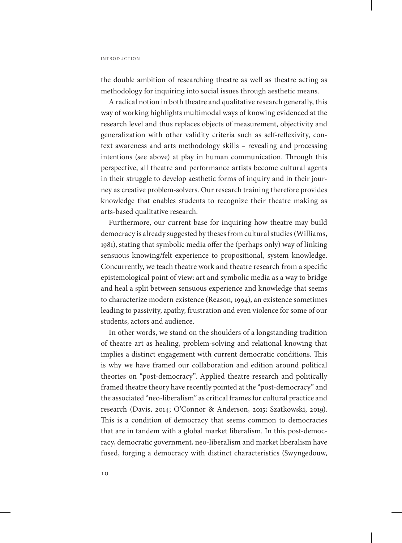the double ambition of researching theatre as well as theatre acting as methodology for inquiring into social issues through aesthetic means.

A radical notion in both theatre and qualitative research generally, this way of working highlights multimodal ways of knowing evidenced at the research level and thus replaces objects of measurement, objectivity and generalization with other validity criteria such as self-reflexivity, context awareness and arts methodology skills – revealing and processing intentions (see above) at play in human communication. Through this perspective, all theatre and performance artists become cultural agents in their struggle to develop aesthetic forms of inquiry and in their journey as creative problem-solvers. Our research training therefore provides knowledge that enables students to recognize their theatre making as arts-based qualitative research.

Furthermore, our current base for inquiring how theatre may build democracy is already suggested by theses from cultural studies (Williams, 1981), stating that symbolic media offer the (perhaps only) way of linking sensuous knowing/felt experience to propositional, system knowledge. Concurrently, we teach theatre work and theatre research from a specific epistemological point of view: art and symbolic media as a way to bridge and heal a split between sensuous experience and knowledge that seems to characterize modern existence (Reason, 1994), an existence sometimes leading to passivity, apathy, frustration and even violence for some of our students, actors and audience.

In other words, we stand on the shoulders of a longstanding tradition of theatre art as healing, problem-solving and relational knowing that implies a distinct engagement with current democratic conditions. This is why we have framed our collaboration and edition around political theories on "post-democracy". Applied theatre research and politically framed theatre theory have recently pointed at the "post-democracy" and the associated "neo-liberalism" as critical frames for cultural practice and research (Davis, 2014; O'Connor & Anderson, 2015; Szatkowski, 2019). This is a condition of democracy that seems common to democracies that are in tandem with a global market liberalism. In this post-democracy, democratic government, neo-liberalism and market liberalism have fused, forging a democracy with distinct characteristics (Swyngedouw,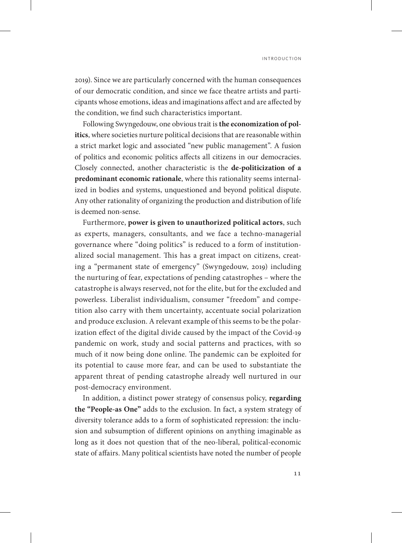2019). Since we are particularly concerned with the human consequences of our democratic condition, and since we face theatre artists and participants whose emotions, ideas and imaginations affect and are affected by the condition, we find such characteristics important.

Following Swyngedouw, one obvious trait is **the economization of politics**, where societies nurture political decisions that are reasonable within a strict market logic and associated "new public management". A fusion of politics and economic politics affects all citizens in our democracies. Closely connected, another characteristic is the **de-politicization of a predominant economic rationale**, where this rationality seems internalized in bodies and systems, unquestioned and beyond political dispute. Any other rationality of organizing the production and distribution of life is deemed non-sense.

Furthermore, **power is given to unauthorized political actors**, such as experts, managers, consultants, and we face a techno-managerial governance where "doing politics" is reduced to a form of institutionalized social management. This has a great impact on citizens, creating a "permanent state of emergency" (Swyngedouw, 2019) including the nurturing of fear, expectations of pending catastrophes – where the catastrophe is always reserved, not for the elite, but for the excluded and powerless. Liberalist individualism, consumer "freedom" and competition also carry with them uncertainty, accentuate social polarization and produce exclusion. A relevant example of this seems to be the polarization effect of the digital divide caused by the impact of the Covid-19 pandemic on work, study and social patterns and practices, with so much of it now being done online. The pandemic can be exploited for its potential to cause more fear, and can be used to substantiate the apparent threat of pending catastrophe already well nurtured in our post-democracy environment.

In addition, a distinct power strategy of consensus policy, **regarding the "People-as One"** adds to the exclusion. In fact, a system strategy of diversity tolerance adds to a form of sophisticated repression: the inclusion and subsumption of different opinions on anything imaginable as long as it does not question that of the neo-liberal, political-economic state of affairs. Many political scientists have noted the number of people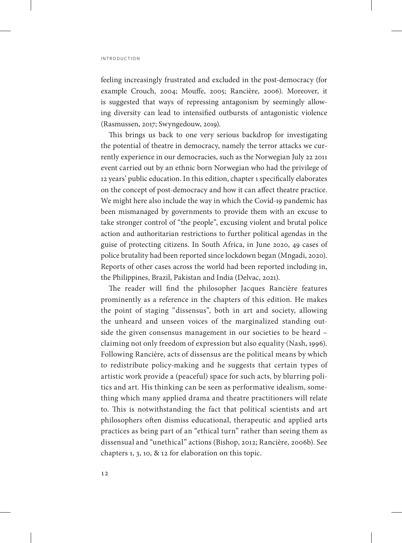feeling increasingly frustrated and excluded in the post-democracy (for example Crouch, 2004; Mouffe, 2005; Rancière, 2006). Moreover, it is suggested that ways of repressing antagonism by seemingly allowing diversity can lead to intensified outbursts of antagonistic violence (Rasmussen, 2017; Swyngedouw, 2019).

This brings us back to one very serious backdrop for investigating the potential of theatre in democracy, namely the terror attacks we currently experience in our democracies, such as the Norwegian July 22 2011 event carried out by an ethnic born Norwegian who had the privilege of 12 years' public education. In this edition, chapter 1 specifically elaborates on the concept of post-democracy and how it can affect theatre practice. We might here also include the way in which the Covid-19 pandemic has been mismanaged by governments to provide them with an excuse to take stronger control of "the people", excusing violent and brutal police action and authoritarian restrictions to further political agendas in the guise of protecting citizens. In South Africa, in June 2020, 49 cases of police brutality had been reported since lockdown began (Mngadi, 2020). Reports of other cases across the world had been reported including in, the Philippines, Brazil, Pakistan and India (Delvac, 2021).

The reader will find the philosopher Jacques Rancière features prominently as a reference in the chapters of this edition. He makes the point of staging "dissensus", both in art and society, allowing the unheard and unseen voices of the marginalized standing outside the given consensus management in our societies to be heard – claiming not only freedom of expression but also equality (Nash, 1996). Following Rancière, acts of dissensus are the political means by which to redistribute policy-making and he suggests that certain types of artistic work provide a (peaceful) space for such acts, by blurring politics and art. His thinking can be seen as performative idealism, something which many applied drama and theatre practitioners will relate to. This is notwithstanding the fact that political scientists and art philosophers often dismiss educational, therapeutic and applied arts practices as being part of an "ethical turn" rather than seeing them as dissensual and "unethical" actions (Bishop, 2012; Rancière, 2006b). See chapters 1, 3, 10, & 12 for elaboration on this topic.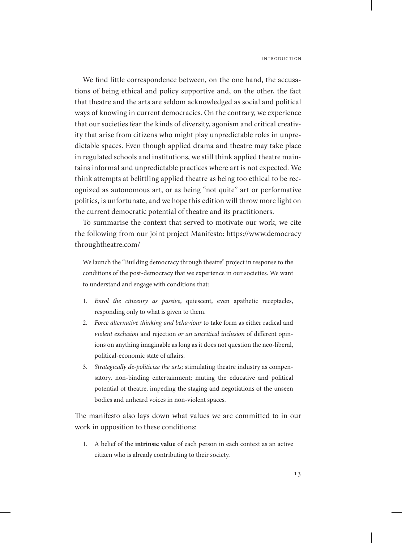We find little correspondence between, on the one hand, the accusations of being ethical and policy supportive and, on the other, the fact that theatre and the arts are seldom acknowledged as social and political ways of knowing in current democracies. On the contrary, we experience that our societies fear the kinds of diversity, agonism and critical creativity that arise from citizens who might play unpredictable roles in unpredictable spaces. Even though applied drama and theatre may take place in regulated schools and institutions, we still think applied theatre maintains informal and unpredictable practices where art is not expected. We think attempts at belittling applied theatre as being too ethical to be recognized as autonomous art, or as being "not quite" art or performative politics, is unfortunate, and we hope this edition will throw more light on the current democratic potential of theatre and its practitioners.

To summarise the context that served to motivate our work, we cite the following from our joint project Manifesto: [https://www.democracy](https://www.democracythroughtheatre.com/) [throughtheatre.com/](https://www.democracythroughtheatre.com/)

We launch the "Building democracy through theatre" project in response to the conditions of the post-democracy that we experience in our societies. We want to understand and engage with conditions that:

- 1. *Enrol the citizenry as passive*, quiescent, even apathetic receptacles, responding only to what is given to them.
- 2. *Force alternative thinking and behaviour* to take form as either radical and *violent exclusion* and rejection *or an uncritical inclusion* of different opinions on anything imaginable as long as it does not question the neo-liberal, political-economic state of affairs.
- 3. *Strategically de-politicize the arts*; stimulating theatre industry as compensatory, non-binding entertainment; muting the educative and political potential of theatre, impeding the staging and negotiations of the unseen bodies and unheard voices in non-violent spaces.

The manifesto also lays down what values we are committed to in our work in opposition to these conditions:

1. A belief of the **intrinsic value** of each person in each context as an active citizen who is already contributing to their society.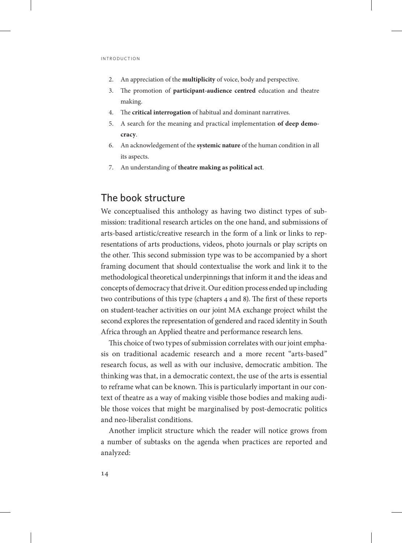- 2. An appreciation of the **multiplicity** of voice, body and perspective.
- 3. The promotion of **participant-audience centred** education and theatre making.
- 4. The **critical interrogation** of habitual and dominant narratives.
- 5. A search for the meaning and practical implementation **of deep democracy**.
- 6. An acknowledgement of the **systemic nature** of the human condition in all its aspects.
- 7. An understanding of **theatre making as political act**.

# The book structure

We conceptualised this anthology as having two distinct types of submission: traditional research articles on the one hand, and submissions of arts-based artistic/creative research in the form of a link or links to representations of arts productions, videos, photo journals or play scripts on the other. This second submission type was to be accompanied by a short framing document that should contextualise the work and link it to the methodological theoretical underpinnings that inform it and the ideas and concepts of democracy that drive it. Our edition process ended up including two contributions of this type (chapters 4 and 8). The first of these reports on student-teacher activities on our joint MA exchange project whilst the second explores the representation of gendered and raced identity in South Africa through an Applied theatre and performance research lens.

This choice of two types of submission correlates with our joint emphasis on traditional academic research and a more recent "arts-based" research focus, as well as with our inclusive, democratic ambition. The thinking was that, in a democratic context, the use of the arts is essential to reframe what can be known. This is particularly important in our context of theatre as a way of making visible those bodies and making audible those voices that might be marginalised by post-democratic politics and neo-liberalist conditions.

Another implicit structure which the reader will notice grows from a number of subtasks on the agenda when practices are reported and analyzed: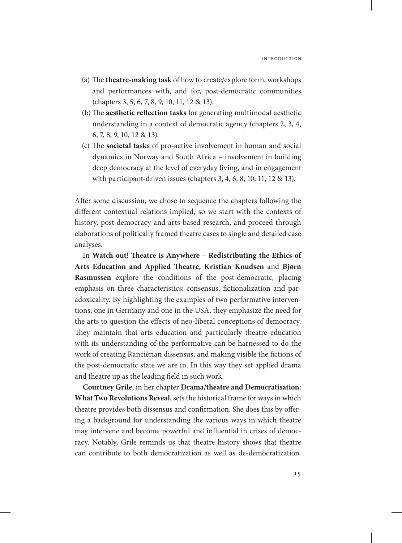- (a) The **theatre-making task** of how to create/explore form, workshops and performances with, and for, post-democratic communities (chapters 3, 5, 6, 7, 8, 9, 10, 11, 12 & 13).
- (b) The **aesthetic reflection tasks** for generating multimodal aesthetic understanding in a context of democratic agency (chapters 2, 3, 4, 6, 7, 8, 9, 10, 12 & 13).
- (c) The **societal tasks** of pro-active involvement in human and social dynamics in Norway and South Africa – involvement in building deep democracy at the level of everyday living, and in engagement with participant-driven issues (chapters 3, 4, 6, 8, 10, 11, 12 & 13).

After some discussion, we chose to sequence the chapters following the different contextual relations implied, so we start with the contexts of history, post-democracy and arts-based research, and proceed through elaborations of politically framed theatre cases to single and detailed case analyses.

In **Watch out! Theatre is Anywhere – Redistributing the Ethics of Arts Education and Applied Theatre, Kristian Knudsen** and **Bjørn Rasmussen** explore the conditions of the post-democratic, placing emphasis on three characteristics: consensus, fictionalization and paradoxicality. By highlighting the examples of two performative interventions, one in Germany and one in the USA, they emphasize the need for the arts to question the effects of neo-liberal conceptions of democracy. They maintain that arts education and particularly theatre education with its understanding of the performative can be harnessed to do the work of creating Rancièrian dissensus, and making visible the fictions of the post-democratic state we are in. In this way they set applied drama and theatre up as the leading field in such work.

**Courtney Grile**, in her chapter **Drama/theatre and Democratisation: What Two Revolutions Reveal**, sets the historical frame for ways in which theatre provides both dissensus and confirmation. She does this by offering a background for understanding the various ways in which theatre may intervene and become powerful and influential in crises of democracy. Notably, Grile reminds us that theatre history shows that theatre can contribute to both democratization as well as de-democratization.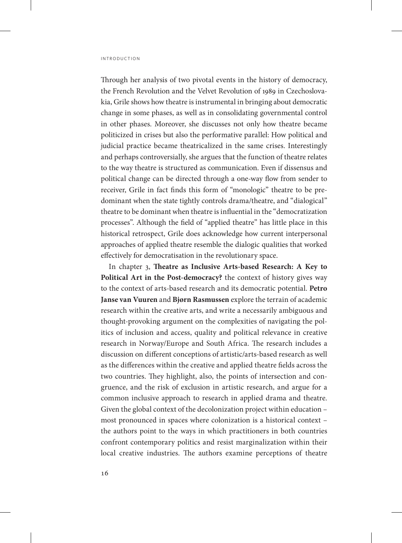Through her analysis of two pivotal events in the history of democracy, the French Revolution and the Velvet Revolution of 1989 in Czechoslovakia, Grile shows how theatre is instrumental in bringing about democratic change in some phases, as well as in consolidating governmental control in other phases. Moreover, she discusses not only how theatre became politicized in crises but also the performative parallel: How political and judicial practice became theatricalized in the same crises. Interestingly and perhaps controversially, she argues that the function of theatre relates to the way theatre is structured as communication. Even if dissensus and political change can be directed through a one-way flow from sender to receiver, Grile in fact finds this form of "monologic" theatre to be predominant when the state tightly controls drama/theatre, and "dialogical" theatre to be dominant when theatre is influential in the "democratization processes". Although the field of "applied theatre" has little place in this historical retrospect, Grile does acknowledge how current interpersonal approaches of applied theatre resemble the dialogic qualities that worked effectively for democratisation in the revolutionary space.

In chapter 3, **Theatre as Inclusive Arts-based Research: A Key to Political Art in the Post-democracy?** the context of history gives way to the context of arts-based research and its democratic potential. **Petro Janse van Vuuren** and **Bjørn Rasmussen** explore the terrain of academic research within the creative arts, and write a necessarily ambiguous and thought-provoking argument on the complexities of navigating the politics of inclusion and access, quality and political relevance in creative research in Norway/Europe and South Africa. The research includes a discussion on different conceptions of artistic/arts-based research as well as the differences within the creative and applied theatre fields across the two countries. They highlight, also, the points of intersection and congruence, and the risk of exclusion in artistic research, and argue for a common inclusive approach to research in applied drama and theatre. Given the global context of the decolonization project within education – most pronounced in spaces where colonization is a historical context – the authors point to the ways in which practitioners in both countries confront contemporary politics and resist marginalization within their local creative industries. The authors examine perceptions of theatre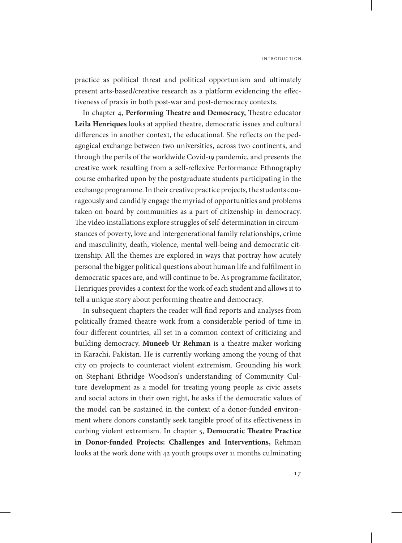practice as political threat and political opportunism and ultimately present arts-based/creative research as a platform evidencing the effectiveness of praxis in both post-war and post-democracy contexts.

In chapter 4, **Performing Theatre and Democracy,** Theatre educator **Leila Henriques** looks at applied theatre, democratic issues and cultural differences in another context, the educational. She reflects on the pedagogical exchange between two universities, across two continents, and through the perils of the worldwide Covid-19 pandemic, and presents the creative work resulting from a self-reflexive Performance Ethnography course embarked upon by the postgraduate students participating in the exchange programme. In their creative practice projects, the students courageously and candidly engage the myriad of opportunities and problems taken on board by communities as a part of citizenship in democracy. The video installations explore struggles of self-determination in circumstances of poverty, love and intergenerational family relationships, crime and masculinity, death, violence, mental well-being and democratic citizenship. All the themes are explored in ways that portray how acutely personal the bigger political questions about human life and fulfilment in democratic spaces are, and will continue to be. As programme facilitator, Henriques provides a context for the work of each student and allows it to tell a unique story about performing theatre and democracy.

In subsequent chapters the reader will find reports and analyses from politically framed theatre work from a considerable period of time in four different countries, all set in a common context of criticizing and building democracy. **Muneeb Ur Rehman** is a theatre maker working in Karachi, Pakistan. He is currently working among the young of that city on projects to counteract violent extremism. Grounding his work on Stephani Ethridge Woodson's understanding of Community Culture development as a model for treating young people as civic assets and social actors in their own right, he asks if the democratic values of the model can be sustained in the context of a donor-funded environment where donors constantly seek tangible proof of its effectiveness in curbing violent extremism. In chapter 5, **Democratic Theatre Practice in Donor-funded Projects: Challenges and Interventions,** Rehman looks at the work done with 42 youth groups over 11 months culminating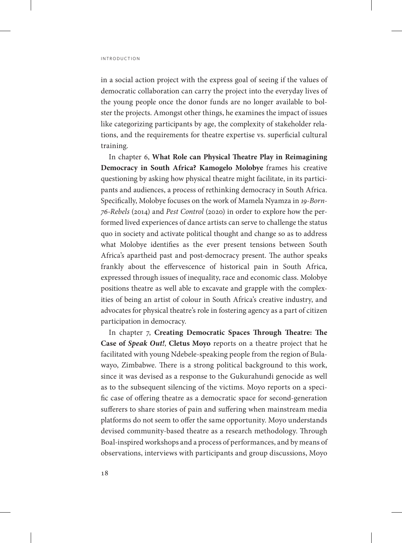in a social action project with the express goal of seeing if the values of democratic collaboration can carry the project into the everyday lives of the young people once the donor funds are no longer available to bolster the projects. Amongst other things, he examines the impact of issues like categorizing participants by age, the complexity of stakeholder relations, and the requirements for theatre expertise vs. superficial cultural training.

In chapter 6, **What Role can Physical Theatre Play in Reimagining Democracy in South Africa? Kamogelo Molobye** frames his creative questioning by asking how physical theatre might facilitate, in its participants and audiences, a process of rethinking democracy in South Africa. Specifically, Molobye focuses on the work of Mamela Nyamza in *19-Born-76-Rebels* (2014) and *Pest Control* (2020) in order to explore how the performed lived experiences of dance artists can serve to challenge the status quo in society and activate political thought and change so as to address what Molobye identifies as the ever present tensions between South Africa's apartheid past and post-democracy present. The author speaks frankly about the effervescence of historical pain in South Africa, expressed through issues of inequality, race and economic class. Molobye positions theatre as well able to excavate and grapple with the complexities of being an artist of colour in South Africa's creative industry, and advocates for physical theatre's role in fostering agency as a part of citizen participation in democracy.

In chapter 7, **Creating Democratic Spaces Through Theatre: The Case of** *Speak Out!*, **Cletus Moyo** reports on a theatre project that he facilitated with young Ndebele-speaking people from the region of Bulawayo, Zimbabwe. There is a strong political background to this work, since it was devised as a response to the Gukurahundi genocide as well as to the subsequent silencing of the victims. Moyo reports on a specific case of offering theatre as a democratic space for second-generation sufferers to share stories of pain and suffering when mainstream media platforms do not seem to offer the same opportunity. Moyo understands devised community-based theatre as a research methodology. Through Boal-inspired workshops and a process of performances, and by means of observations, interviews with participants and group discussions, Moyo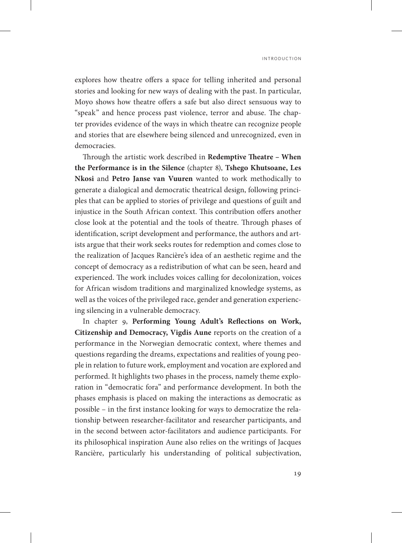explores how theatre offers a space for telling inherited and personal stories and looking for new ways of dealing with the past. In particular, Moyo shows how theatre offers a safe but also direct sensuous way to "speak" and hence process past violence, terror and abuse. The chapter provides evidence of the ways in which theatre can recognize people and stories that are elsewhere being silenced and unrecognized, even in democracies.

Through the artistic work described in **Redemptive Theatre – When the Performance is in the Silence** (chapter 8), **Tshego Khutsoane, Les Nkosi** and **Petro Janse van Vuuren** wanted to work methodically to generate a dialogical and democratic theatrical design, following principles that can be applied to stories of privilege and questions of guilt and injustice in the South African context. This contribution offers another close look at the potential and the tools of theatre. Through phases of identification, script development and performance, the authors and artists argue that their work seeks routes for redemption and comes close to the realization of Jacques Rancière's idea of an aesthetic regime and the concept of democracy as a redistribution of what can be seen, heard and experienced. The work includes voices calling for decolonization, voices for African wisdom traditions and marginalized knowledge systems, as well as the voices of the privileged race, gender and generation experiencing silencing in a vulnerable democracy.

In chapter 9, **Performing Young Adult's Reflections on Work, Citizenship and Democracy, Vigdis Aune** reports on the creation of a performance in the Norwegian democratic context, where themes and questions regarding the dreams, expectations and realities of young people in relation to future work, employment and vocation are explored and performed. It highlights two phases in the process, namely theme exploration in "democratic fora" and performance development. In both the phases emphasis is placed on making the interactions as democratic as possible – in the first instance looking for ways to democratize the relationship between researcher-facilitator and researcher participants, and in the second between actor-facilitators and audience participants. For its philosophical inspiration Aune also relies on the writings of Jacques Rancière, particularly his understanding of political subjectivation,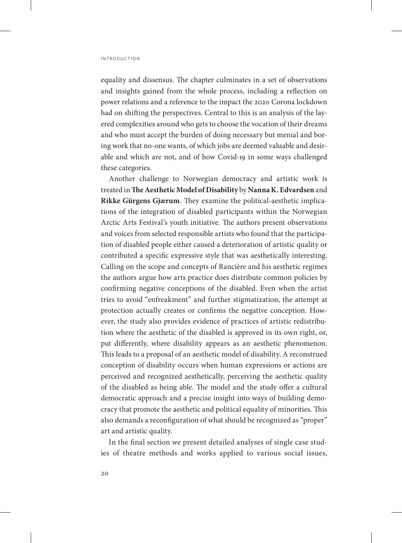equality and dissensus. The chapter culminates in a set of observations and insights gained from the whole process, including a reflection on power relations and a reference to the impact the 2020 Corona lockdown had on shifting the perspectives. Central to this is an analysis of the layered complexities around who gets to choose the vocation of their dreams and who must accept the burden of doing necessary but menial and boring work that no-one wants, of which jobs are deemed valuable and desirable and which are not, and of how Covid-19 in some ways challenged these categories.

Another challenge to Norwegian democracy and artistic work is treated in **The Aesthetic Model of Disability** by **Nanna K. Edvardsen** and **Rikke Gürgens Gjærum**. They examine the political-aesthetic implications of the integration of disabled participants within the Norwegian Arctic Arts Festival's youth initiative. The authors present observations and voices from selected responsible artists who found that the participation of disabled people either caused a deterioration of artistic quality or contributed a specific expressive style that was aesthetically interesting. Calling on the scope and concepts of Rancière and his aesthetic regimes the authors argue how arts practice does distribute common policies by confirming negative conceptions of the disabled. Even when the artist tries to avoid "enfreakment" and further stigmatization, the attempt at protection actually creates or confirms the negative conception. However, the study also provides evidence of practices of artistic redistribution where the aesthetic of the disabled is approved in its own right, or, put differently, where disability appears as an aesthetic phenomenon. This leads to a proposal of an aesthetic model of disability. A reconstrued conception of disability occurs when human expressions or actions are perceived and recognized aesthetically, perceiving the aesthetic quality of the disabled as being able. The model and the study offer a cultural democratic approach and a precise insight into ways of building democracy that promote the aesthetic and political equality of minorities. This also demands a reconfiguration of what should be recognized as "proper" art and artistic quality.

In the final section we present detailed analyses of single case studies of theatre methods and works applied to various social issues,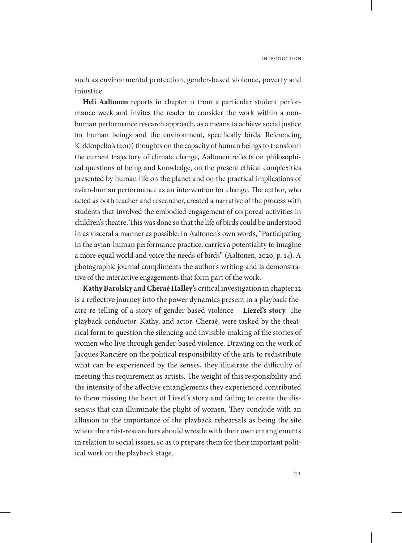such as environmental protection, gender-based violence, poverty and injustice.

**Heli Aaltonen** reports in chapter 11 from a particular student performance week and invites the reader to consider the work within a nonhuman performance research approach, as a means to achieve social justice for human beings and the environment, specifically birds. Referencing Kirkkopelto's (2017) thoughts on the capacity of human beings to transform the current trajectory of climate change, Aaltonen reflects on philosophical questions of being and knowledge, on the present ethical complexities presented by human life on the planet and on the practical implications of avian-human performance as an intervention for change. The author, who acted as both teacher and researcher, created a narrative of the process with students that involved the embodied engagement of corporeal activities in children's theatre. This was done so that the life of birds could be understood in as visceral a manner as possible. In Aaltonen's own words, "Participating in the avian-human performance practice, carries a potentiality to imagine a more equal world and voice the needs of birds" (Aaltonen, 2020, p. 14). A photographic journal compliments the author's writing and is demonstrative of the interactive engagements that form part of the work.

**Kathy Barolsky** and **Cheraé Halley**'s critical investigation in chapter 12 is a reflective journey into the power dynamics present in a playback theatre re-telling of a story of gender-based violence – **Liezel's story**. The playback conductor, Kathy, and actor, Cheraé, were tasked by the theatrical form to question the silencing and invisible-making of the stories of women who live through gender-based violence. Drawing on the work of Jacques Rancière on the political responsibility of the arts to redistribute what can be experienced by the senses, they illustrate the difficulty of meeting this requirement as artists. The weight of this responsibility and the intensity of the affective entanglements they experienced contributed to them missing the heart of Liesel's story and failing to create the dissensus that can illuminate the plight of women. They conclude with an allusion to the importance of the playback rehearsals as being the site where the artist-researchers should wrestle with their own entanglements in relation to social issues, so as to prepare them for their important political work on the playback stage.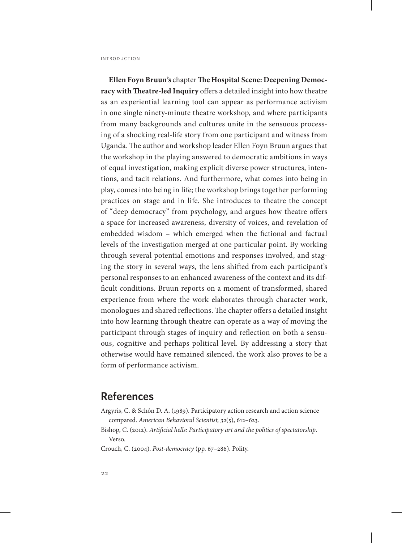**Ellen Foyn Bruun's** chapter **The Hospital Scene: Deepening Democracy with Theatre-led Inquiry** offers a detailed insight into how theatre as an experiential learning tool can appear as performance activism in one single ninety-minute theatre workshop, and where participants from many backgrounds and cultures unite in the sensuous processing of a shocking real-life story from one participant and witness from Uganda. The author and workshop leader Ellen Foyn Bruun argues that the workshop in the playing answered to democratic ambitions in ways of equal investigation, making explicit diverse power structures, intentions, and tacit relations. And furthermore, what comes into being in play, comes into being in life; the workshop brings together performing practices on stage and in life. She introduces to theatre the concept of "deep democracy" from psychology, and argues how theatre offers a space for increased awareness, diversity of voices, and revelation of embedded wisdom – which emerged when the fictional and factual levels of the investigation merged at one particular point. By working through several potential emotions and responses involved, and staging the story in several ways, the lens shifted from each participant's personal responses to an enhanced awareness of the context and its difficult conditions. Bruun reports on a moment of transformed, shared experience from where the work elaborates through character work, monologues and shared reflections. The chapter offers a detailed insight into how learning through theatre can operate as a way of moving the participant through stages of inquiry and reflection on both a sensuous, cognitive and perhaps political level. By addressing a story that otherwise would have remained silenced, the work also proves to be a form of performance activism.

# **References**

- Argyris, C. & Schôn D. A. (1989). Participatory action research and action science compared. *American Behavioral Scientist, 32*(5), 612–623.
- Bishop, C. (2012). *Artificial hells: Participatory art and the politics of spectatorship*. Verso.
- Crouch, C. (2004). *Post-democracy* (pp. 67–286). Polity.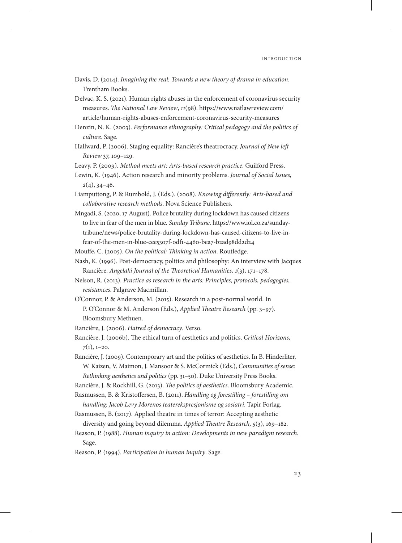- Davis, D. (2014). *Imagining the real: Towards a new theory of drama in education*. Trentham Books.
- Delvac, K. S. (2021). Human rights abuses in the enforcement of coronavirus security measures. *The National Law Review*, *11*(98). [https://www.natlawreview.com/](https://www.natlawreview.com/article/human-rights-abuses-enforcement-coronavirus-security-measures) [article/human-rights-abuses-enforcement-coronavirus-security-measures](https://www.natlawreview.com/article/human-rights-abuses-enforcement-coronavirus-security-measures)
- Denzin, N. K. (2003). *Performance ethnography: Critical pedagogy and the politics of culture*. Sage.
- Hallward, P. (2006). Staging equality: Rancière's theatrocracy. *Journal of New left Review* 37, 109–129.
- Leavy, P. (2009). *Method meets art: Arts-based research practice*. Guilford Press.
- Lewin, K. (1946). Action research and minority problems. *Journal of Social Issues, 2*(4), 34–46.
- Liamputtong, P. & Rumbold, J. (Eds.). (2008). *Knowing differently: Arts-based and collaborative research methods*. Nova Science Publishers.
- Mngadi, S. (2020, 17 August). Police brutality during lockdown has caused citizens to live in fear of the men in blue. *Sunday Tribune*. [https://www.iol.co.za/sunday](https://www.iol.co.za/sundaytribune/news/police-brutality-during-lockdown-has-caused-citizens-to-live-infear-of-the-men-in-blue-cee5307f-0df1-4460-bea7-b2ad98dd2d24)[tribune/news/police-brutality-during-lockdown-has-caused-citizens-to-live-in](https://www.iol.co.za/sundaytribune/news/police-brutality-during-lockdown-has-caused-citizens-to-live-infear-of-the-men-in-blue-cee5307f-0df1-4460-bea7-b2ad98dd2d24)[fear-of-the-men-in-blue-cee5307f-0df1-4460-bea7-b2ad98dd2d24](https://www.iol.co.za/sundaytribune/news/police-brutality-during-lockdown-has-caused-citizens-to-live-infear-of-the-men-in-blue-cee5307f-0df1-4460-bea7-b2ad98dd2d24)
- Mouffe, C. (2005). *On the political: Thinking in action*. Routledge.
- Nash, K. (1996). Post-democracy, politics and philosophy: An interview with Jacques Rancière. *Angelaki Journal of the Theoretical Humanities, 1*(3), 171–178.
- Nelson, R. (2013). *Practice as research in the arts: Principles, protocols, pedagogies, resistances*. Palgrave Macmillan.
- O'Connor, P. & Anderson, M. (2015). Research in a post-normal world. In P. O'Connor & M. Anderson (Eds.), *Applied Theatre Research* (pp. 3–97). Bloomsbury Methuen.
- Rancière, J. (2006). *Hatred of democracy*. Verso.
- Rancière, J. (2006b). The ethical turn of aesthetics and politics. *Critical Horizons, 7*(1), 1–20.
- Rancière, J. (2009). Contemporary art and the politics of aesthetics. In B. Hinderliter, W. Kaizen, V. Maimon, J. Mansoor & S. McCormick (Eds.), *Communities of sense: Rethinking aesthetics and politics* (pp. 31–50). Duke University Press Books.

Rancière, J. & Rockhill, G. (2013). *The politics of aesthetics*. Bloomsbury Academic.

- Rasmussen, B. & Kristoffersen, B. (2011). *Handling og forestilling forestilling om handling: Jacob Levy Morenos teaterekspresjonisme og sosiatri*. Tapir Forlag.
- Rasmussen, B. (2017). Applied theatre in times of terror: Accepting aesthetic diversity and going beyond dilemma. *Applied Theatre Research, 5*(3), 169–182.
- Reason, P. (1988). *Human inquiry in action: Developments in new paradigm research*. Sage.
- Reason, P. (1994). *Participation in human inquiry*. Sage.